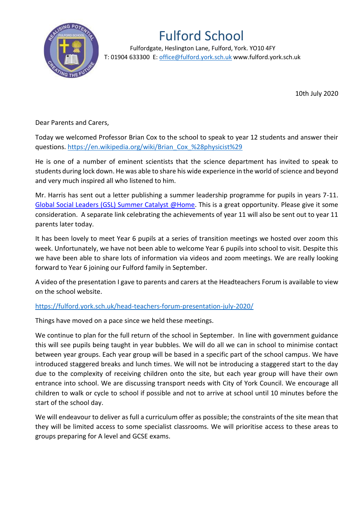

## Fulford School

 Fulfordgate, Heslington Lane, Fulford, York. YO10 4FY T: 01904 633300 E: office@fulford.york.sch.uk www.fulford.york.sch.uk

10th July 2020

Dear Parents and Carers,

Today we welcomed Professor Brian Cox to the school to speak to year 12 students and answer their questions. [https://en.wikipedia.org/wiki/Brian\\_Cox\\_%28physicist%29](https://en.wikipedia.org/wiki/Brian_Cox_%28physicist%29)

He is one of a number of eminent scientists that the science department has invited to speak to students during lock down. He was able to share his wide experience in the world of science and beyond and very much inspired all who listened to him.

Mr. Harris has sent out a letter publishing a summer leadership programme for pupils in years 7-11. [Global Social Leaders \(GSL\) Summer Catalyst @Home.](https://mail.fulford.york.sch.uk/owa/redir.aspx?C=nZsyHT1QFJHnLoSxaA9inDGc4RjqDvNMlK4Lp5ytmpIMAxgBviTYCA..&URL=https%3a%2f%2fwww.globalsocialleaders.com%2fgsl-summer-catalyst-at-home%2f) This is a great opportunity. Please give it some consideration. A separate link celebrating the achievements of year 11 will also be sent out to year 11 parents later today.

It has been lovely to meet Year 6 pupils at a series of transition meetings we hosted over zoom this week. Unfortunately, we have not been able to welcome Year 6 pupils into school to visit. Despite this we have been able to share lots of information via videos and zoom meetings. We are really looking forward to Year 6 joining our Fulford family in September.

A video of the presentation I gave to parents and carers at the Headteachers Forum is available to view on the school website.

<https://fulford.york.sch.uk/head-teachers-forum-presentation-july-2020/>

Things have moved on a pace since we held these meetings.

We continue to plan for the full return of the school in September. In line with government guidance this will see pupils being taught in year bubbles. We will do all we can in school to minimise contact between year groups. Each year group will be based in a specific part of the school campus. We have introduced staggered breaks and lunch times. We will not be introducing a staggered start to the day due to the complexity of receiving children onto the site, but each year group will have their own entrance into school. We are discussing transport needs with City of York Council. We encourage all children to walk or cycle to school if possible and not to arrive at school until 10 minutes before the start of the school day.

We will endeavour to deliver as full a curriculum offer as possible; the constraints of the site mean that they will be limited access to some specialist classrooms. We will prioritise access to these areas to groups preparing for A level and GCSE exams.